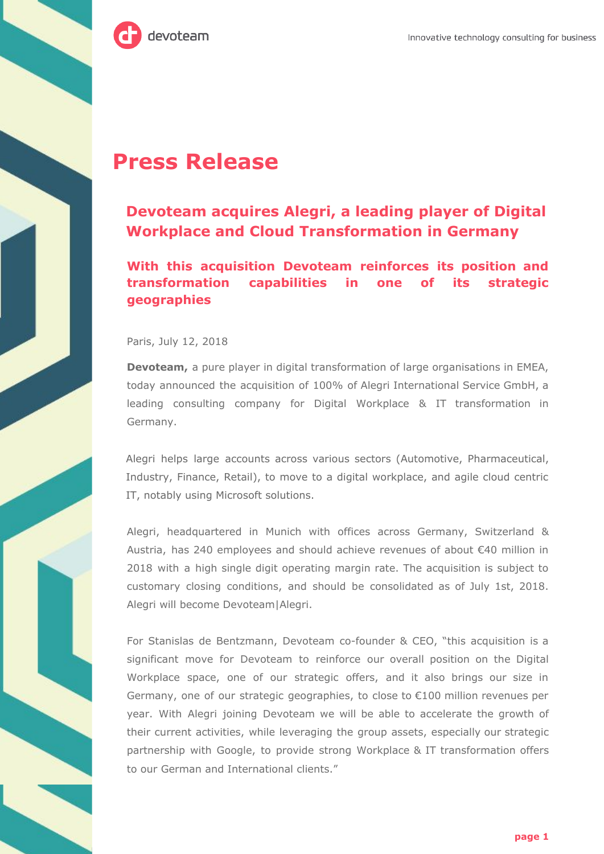

## **Press Release**

## **Devoteam acquires Alegri, a leading player of Digital Workplace and Cloud Transformation in Germany**

**With this acquisition Devoteam reinforces its position and transformation capabilities in one of its strategic geographies**

Paris, July 12, 2018

**Devoteam,** a pure player in digital transformation of large organisations in EMEA, today announced the acquisition of 100% of Alegri International Service GmbH, a leading consulting company for Digital Workplace & IT transformation in Germany.

Alegri helps large accounts across various sectors (Automotive, Pharmaceutical, Industry, Finance, Retail), to move to a digital workplace, and agile cloud centric IT, notably using Microsoft solutions.

Alegri, headquartered in Munich with offices across Germany, Switzerland & Austria, has 240 employees and should achieve revenues of about €40 million in 2018 with a high single digit operating margin rate. The acquisition is subject to customary closing conditions, and should be consolidated as of July 1st, 2018. Alegri will become Devoteam|Alegri.

For Stanislas de Bentzmann, Devoteam co-founder & CEO, "this acquisition is a significant move for Devoteam to reinforce our overall position on the Digital Workplace space, one of our strategic offers, and it also brings our size in Germany, one of our strategic geographies, to close to €100 million revenues per year. With Alegri joining Devoteam we will be able to accelerate the growth of their current activities, while leveraging the group assets, especially our strategic partnership with Google, to provide strong Workplace & IT transformation offers to our German and International clients."